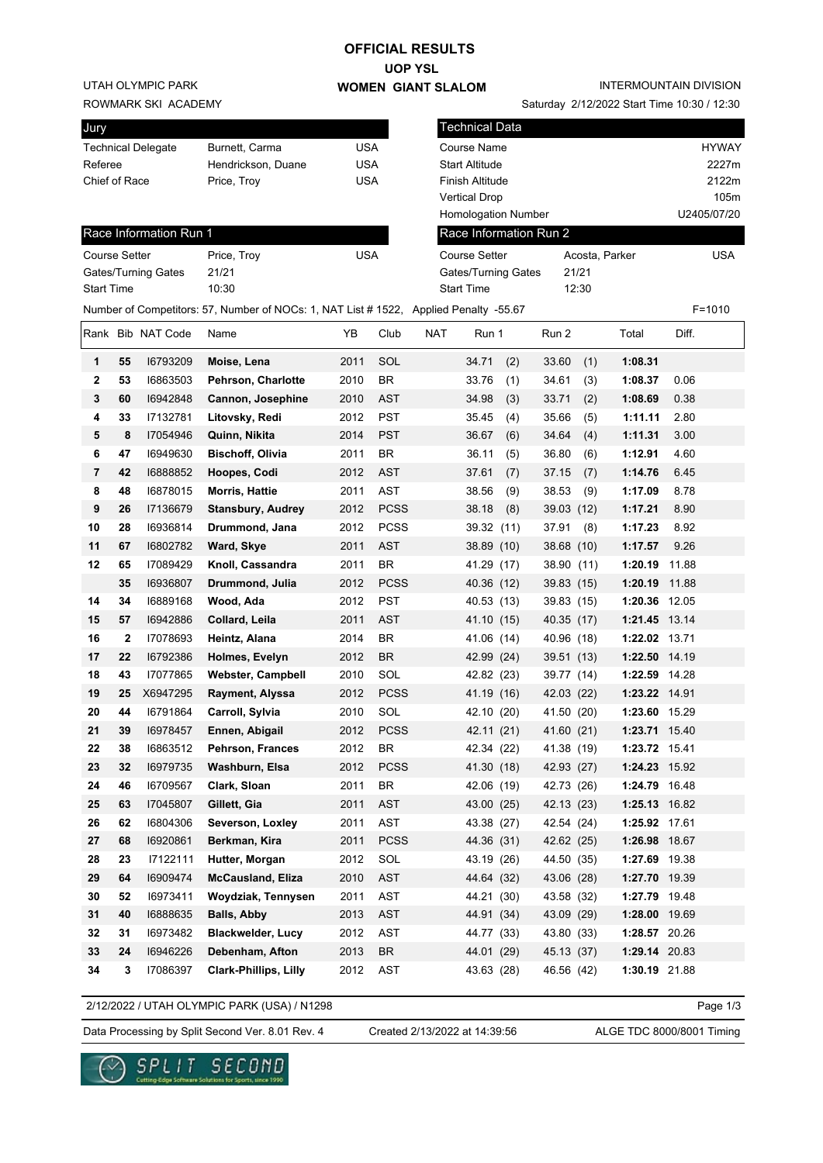## **OFFICIAL RESULTS**

**UOP YSL WOMEN GIANT SLALOM**

UTAH OLYMPIC PARK

ROWMARK SKI ACADEMY

| Jury                      |                    |     |
|---------------------------|--------------------|-----|
| <b>Technical Delegate</b> | Burnett, Carma     | USA |
| Referee                   | Hendrickson, Duane | USA |
| Chief of Race             | Price, Troy        | USA |
|                           |                    |     |

Saturday 2/12/2022 Start Time 10:30 / 12:30

| Jury                 |    |                           |                                                                                       |            |             |            | <b>Technical Data</b> |      |                        |       |                |       |              |
|----------------------|----|---------------------------|---------------------------------------------------------------------------------------|------------|-------------|------------|-----------------------|------|------------------------|-------|----------------|-------|--------------|
|                      |    | <b>Technical Delegate</b> | Burnett, Carma                                                                        | <b>USA</b> |             |            | <b>Course Name</b>    |      |                        |       |                |       | <b>HYWAY</b> |
| Referee              |    |                           | Hendrickson, Duane                                                                    | <b>USA</b> |             |            | <b>Start Altitude</b> |      |                        |       |                |       | 2227m        |
| Chief of Race        |    |                           | Price, Troy                                                                           | <b>USA</b> |             |            | Finish Altitude       |      |                        |       |                |       | 2122m        |
|                      |    |                           |                                                                                       |            |             |            | <b>Vertical Drop</b>  |      |                        |       |                |       | 105m         |
|                      |    |                           |                                                                                       |            |             |            | Homologation Number   |      |                        |       |                |       | U2405/07/20  |
|                      |    | Race Information Run 1    |                                                                                       |            |             |            |                       |      | Race Information Run 2 |       |                |       |              |
| <b>Course Setter</b> |    |                           | Price, Troy                                                                           | <b>USA</b> |             |            | <b>Course Setter</b>  |      |                        |       | Acosta, Parker |       | <b>USA</b>   |
|                      |    | Gates/Turning Gates       | 21/21                                                                                 |            |             |            | Gates/Turning Gates   |      |                        | 21/21 |                |       |              |
| <b>Start Time</b>    |    |                           | 10:30                                                                                 |            |             |            | <b>Start Time</b>     |      |                        | 12:30 |                |       |              |
|                      |    |                           | Number of Competitors: 57, Number of NOCs: 1, NAT List # 1522, Applied Penalty -55.67 |            |             |            |                       |      |                        |       |                |       | $F = 1010$   |
|                      |    | Rank Bib NAT Code         | Name                                                                                  | ΥB         | Club        | <b>NAT</b> | Run 1                 |      | Run 2                  |       | Total          | Diff. |              |
| 1                    | 55 | 16793209                  | Moise, Lena                                                                           | 2011       | SOL         |            | 34.71                 | (2)  | 33.60                  | (1)   | 1:08.31        |       |              |
| 2                    | 53 | 16863503                  | Pehrson, Charlotte                                                                    | 2010       | <b>BR</b>   |            | 33.76                 | (1)  | 34.61                  | (3)   | 1:08.37        | 0.06  |              |
| 3                    | 60 | 16942848                  | Cannon, Josephine                                                                     | 2010       | <b>AST</b>  |            | 34.98                 | (3)  | 33.71                  | (2)   | 1:08.69        | 0.38  |              |
| 4                    | 33 | 17132781                  | Litovsky, Redi                                                                        | 2012       | <b>PST</b>  |            | 35.45                 | (4)  | 35.66                  | (5)   | 1:11.11        | 2.80  |              |
| 5                    | 8  | 17054946                  | Quinn, Nikita                                                                         | 2014       | <b>PST</b>  |            | 36.67                 | (6)  | 34.64                  | (4)   | 1:11.31        | 3.00  |              |
| 6                    | 47 | 16949630                  | <b>Bischoff, Olivia</b>                                                               | 2011       | <b>BR</b>   |            | 36.11                 | (5)  | 36.80                  | (6)   | 1:12.91        | 4.60  |              |
| 7                    | 42 | 16888852                  | Hoopes, Codi                                                                          | 2012       | <b>AST</b>  |            | 37.61                 | (7)  | 37.15                  | (7)   | 1:14.76        | 6.45  |              |
| 8                    | 48 | 16878015                  | <b>Morris, Hattie</b>                                                                 | 2011       | <b>AST</b>  |            | 38.56                 | (9)  | 38.53                  | (9)   | 1:17.09        | 8.78  |              |
| 9                    | 26 | 17136679                  | <b>Stansbury, Audrey</b>                                                              | 2012       | <b>PCSS</b> |            | 38.18                 | (8)  | 39.03 (12)             |       | 1:17.21        | 8.90  |              |
| 10                   | 28 | 16936814                  | Drummond, Jana                                                                        | 2012       | <b>PCSS</b> |            | 39.32 (11)            |      | 37.91                  | (8)   | 1:17.23        | 8.92  |              |
| 11                   | 67 | 16802782                  | Ward, Skye                                                                            | 2011       | <b>AST</b>  |            | 38.89 (10)            |      | 38.68 (10)             |       | 1:17.57        | 9.26  |              |
| 12                   | 65 | 17089429                  | Knoll, Cassandra                                                                      | 2011       | <b>BR</b>   |            | 41.29                 | (17) | 38.90 (11)             |       | 1:20.19        | 11.88 |              |
|                      | 35 | 16936807                  | Drummond, Julia                                                                       | 2012       | <b>PCSS</b> |            | 40.36 (12)            |      | 39.83 (15)             |       | 1:20.19        | 11.88 |              |
| 14                   | 34 | 16889168                  | Wood, Ada                                                                             | 2012       | <b>PST</b>  |            | 40.53 (13)            |      | 39.83 (15)             |       | 1:20.36 12.05  |       |              |
| 15                   | 57 | 16942886                  | Collard, Leila                                                                        | 2011       | <b>AST</b>  |            | 41.10 (15)            |      | 40.35 (17)             |       | 1:21.45 13.14  |       |              |
| 16                   | 2  | 17078693                  | Heintz, Alana                                                                         | 2014       | BR          |            | 41.06 (14)            |      | 40.96 (18)             |       | 1:22.02 13.71  |       |              |
| 17                   | 22 | 16792386                  | Holmes, Evelyn                                                                        | 2012       | <b>BR</b>   |            | 42.99 (24)            |      | 39.51 (13)             |       | 1:22.50 14.19  |       |              |
| 18                   | 43 | 17077865                  | <b>Webster, Campbell</b>                                                              | 2010       | SOL         |            | 42.82 (23)            |      | 39.77 (14)             |       | 1:22.59 14.28  |       |              |
| 19                   | 25 | X6947295                  | Rayment, Alyssa                                                                       | 2012       | <b>PCSS</b> |            | 41.19 (16)            |      | 42.03 (22)             |       | 1:23.22 14.91  |       |              |
| 20                   | 44 | 16791864                  | Carroll, Sylvia                                                                       | 2010       | SOL         |            | 42.10 (20)            |      | 41.50 (20)             |       | 1:23.60 15.29  |       |              |
| 21                   | 39 | 16978457                  | Ennen, Abigail                                                                        | 2012       | <b>PCSS</b> |            | 42.11 (21)            |      | 41.60 (21)             |       | 1:23.71 15.40  |       |              |
| 22                   | 38 | 16863512                  | Pehrson, Frances                                                                      | 2012       | BR          |            | 42.34 (22)            |      | 41.38 (19)             |       | 1:23.72 15.41  |       |              |
| 23                   | 32 | 16979735                  | Washburn, Elsa                                                                        | 2012       | <b>PCSS</b> |            | 41.30 (18)            |      | 42.93 (27)             |       | 1:24.23 15.92  |       |              |
| 24                   | 46 | 16709567                  | Clark, Sloan                                                                          | 2011       | BR          |            | 42.06 (19)            |      | 42.73 (26)             |       | 1:24.79 16.48  |       |              |
| 25                   | 63 | 17045807                  | Gillett, Gia                                                                          | 2011       | <b>AST</b>  |            | 43.00 (25)            |      | 42.13 (23)             |       | 1:25.13 16.82  |       |              |
| 26                   | 62 | 16804306                  | Severson, Loxley                                                                      | 2011       | AST         |            | 43.38 (27)            |      | 42.54 (24)             |       | 1:25.92 17.61  |       |              |
| 27                   | 68 | 16920861                  | Berkman, Kira                                                                         | 2011       | <b>PCSS</b> |            | 44.36 (31)            |      | 42.62 (25)             |       | 1:26.98 18.67  |       |              |
| 28                   | 23 | 17122111                  | Hutter, Morgan                                                                        | 2012       | SOL         |            | 43.19 (26)            |      | 44.50 (35)             |       | 1:27.69 19.38  |       |              |
| 29                   | 64 | 16909474                  | <b>McCausland, Eliza</b>                                                              | 2010       | AST         |            | 44.64 (32)            |      | 43.06 (28)             |       | 1:27.70 19.39  |       |              |
| 30                   | 52 | 16973411                  | Woydziak, Tennysen                                                                    | 2011       | AST         |            | 44.21 (30)            |      | 43.58 (32)             |       | 1:27.79 19.48  |       |              |
| 31                   | 40 | 16888635                  | <b>Balls, Abby</b>                                                                    | 2013       | AST         |            | 44.91 (34)            |      | 43.09 (29)             |       | 1:28.00 19.69  |       |              |
| 32                   | 31 | 16973482                  | <b>Blackwelder, Lucy</b>                                                              | 2012       | AST         |            | 44.77 (33)            |      | 43.80 (33)             |       | 1:28.57 20.26  |       |              |
| 33                   | 24 | 16946226                  | Debenham, Afton                                                                       | 2013       | BR          |            | 44.01 (29)            |      | 45.13 (37)             |       | 1:29.14 20.83  |       |              |
| 34                   | 3  | 17086397                  | <b>Clark-Phillips, Lilly</b>                                                          | 2012       | AST         |            | 43.63 (28)            |      | 46.56 (42)             |       | 1:30.19 21.88  |       |              |
|                      |    |                           |                                                                                       |            |             |            |                       |      |                        |       |                |       |              |

2/12/2022 / UTAH OLYMPIC PARK (USA) / N1298

Data Processing by Split Second Ver. 8.01 Rev. 4 Created 2/13/2022 at 14:39:56 ALGE TDC 8000/8001 Timing

re Solutions for Sports, since 1990

Created 2/13/2022 at 14:39:56

Page 1/3

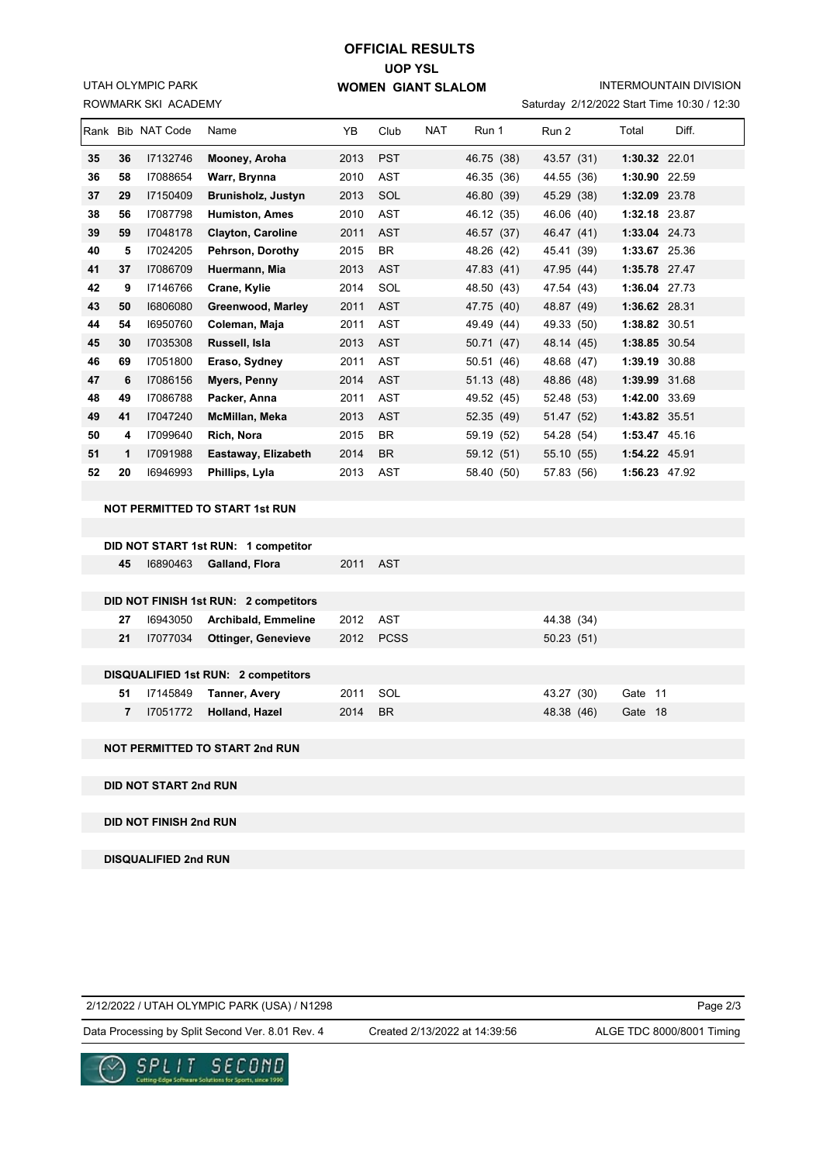ROWMARK SKI ACADEMY UTAH OLYMPIC PARK

### **UOP YSL WOMEN GIANT SLALOM OFFICIAL RESULTS**

INTERMOUNTAIN DIVISION

|  | Saturday 2/12/2022 Start Time 10:30 / 12:30 |  |  |  |
|--|---------------------------------------------|--|--|--|
|--|---------------------------------------------|--|--|--|

|    |    | Rank Bib NAT Code | Name                     | YB   | Club       | <b>NAT</b> | Run 1      | Run 2      | Total         | Diff. |
|----|----|-------------------|--------------------------|------|------------|------------|------------|------------|---------------|-------|
| 35 | 36 | 17132746          | Mooney, Aroha            | 2013 | <b>PST</b> |            | 46.75 (38) | 43.57 (31) | 1:30.32 22.01 |       |
| 36 | 58 | 17088654          | Warr, Brynna             | 2010 | <b>AST</b> |            | 46.35 (36) | 44.55 (36) | 1:30.90       | 22.59 |
| 37 | 29 | 17150409          | Brunisholz, Justyn       | 2013 | SOL        |            | 46.80 (39) | 45.29 (38) | 1:32.09 23.78 |       |
| 38 | 56 | 17087798          | <b>Humiston, Ames</b>    | 2010 | <b>AST</b> |            | 46.12 (35) | 46.06 (40) | 1:32.18 23.87 |       |
| 39 | 59 | 17048178          | <b>Clayton, Caroline</b> | 2011 | <b>AST</b> |            | 46.57 (37) | 46.47 (41) | 1:33.04 24.73 |       |
| 40 | 5  | 17024205          | Pehrson, Dorothy         | 2015 | <b>BR</b>  |            | 48.26 (42) | 45.41 (39) | 1:33.67 25.36 |       |
| 41 | 37 | 17086709          | Huermann, Mia            | 2013 | <b>AST</b> |            | 47.83 (41) | 47.95 (44) | 1:35.78 27.47 |       |
| 42 | 9  | 17146766          | Crane, Kylie             | 2014 | SOL        |            | 48.50 (43) | 47.54 (43) | 1:36.04 27.73 |       |
| 43 | 50 | 16806080          | Greenwood, Marley        | 2011 | <b>AST</b> |            | 47.75 (40) | 48.87 (49) | 1:36.62 28.31 |       |
| 44 | 54 | 16950760          | Coleman, Maja            | 2011 | <b>AST</b> |            | 49.49 (44) | 49.33 (50) | 1:38.82 30.51 |       |
| 45 | 30 | 17035308          | Russell, Isla            | 2013 | <b>AST</b> |            | 50.71 (47) | 48.14 (45) | 1:38.85 30.54 |       |
| 46 | 69 | 17051800          | Eraso, Sydney            | 2011 | <b>AST</b> |            | 50.51 (46) | 48.68 (47) | 1:39.19 30.88 |       |
| 47 | 6  | 17086156          | Myers, Penny             | 2014 | <b>AST</b> |            | 51.13 (48) | 48.86 (48) | 1:39.99 31.68 |       |
| 48 | 49 | 17086788          | Packer, Anna             | 2011 | <b>AST</b> |            | 49.52 (45) | 52.48 (53) | 1:42.00 33.69 |       |
| 49 | 41 | 17047240          | McMillan, Meka           | 2013 | <b>AST</b> |            | 52.35 (49) | 51.47 (52) | 1:43.82 35.51 |       |
| 50 | 4  | 17099640          | Rich, Nora               | 2015 | BR         |            | 59.19 (52) | 54.28 (54) | 1:53.47 45.16 |       |
| 51 | 1  | 17091988          | Eastaway, Elizabeth      | 2014 | <b>BR</b>  |            | 59.12 (51) | 55.10 (55) | 1:54.22 45.91 |       |
| 52 | 20 | 16946993          | Phillips, Lyla           | 2013 | AST        |            | 58.40 (50) | 57.83 (56) | 1:56.23 47.92 |       |
|    |    |                   |                          |      |            |            |            |            |               |       |

#### **NOT PERMITTED TO START 1st RUN**

| DID NOT START 1st RUN: 1 competitor                                                                |          |                            |      |           |            |         |  |  |  |  |
|----------------------------------------------------------------------------------------------------|----------|----------------------------|------|-----------|------------|---------|--|--|--|--|
| 45                                                                                                 | 16890463 | Galland, Flora             | 2011 | AST       |            |         |  |  |  |  |
|                                                                                                    |          |                            |      |           |            |         |  |  |  |  |
|                                                                                                    |          |                            |      |           |            |         |  |  |  |  |
| 27                                                                                                 | 16943050 | <b>Archibald, Emmeline</b> | 2012 | AST       | 44.38 (34) |         |  |  |  |  |
| 21                                                                                                 | 17077034 | <b>Ottinger, Genevieve</b> | 2012 |           | 50.23(51)  |         |  |  |  |  |
|                                                                                                    |          |                            |      |           |            |         |  |  |  |  |
|                                                                                                    |          |                            |      |           |            |         |  |  |  |  |
| 51                                                                                                 | 17145849 | <b>Tanner, Avery</b>       | 2011 | SOL       | 43.27 (30) | Gate 11 |  |  |  |  |
| $\overline{7}$                                                                                     | 17051772 | Holland, Hazel             | 2014 | <b>BR</b> | 48.38 (46) | Gate 18 |  |  |  |  |
| DID NOT FINISH 1st RUN: 2 competitors<br><b>PCSS</b><br><b>DISQUALIFIED 1st RUN: 2 competitors</b> |          |                            |      |           |            |         |  |  |  |  |

#### **NOT PERMITTED TO START 2nd RUN**

**DID NOT START 2nd RUN**

#### **DID NOT FINISH 2nd RUN**

**DISQUALIFIED 2nd RUN**

2/12/2022 / UTAH OLYMPIC PARK (USA) / N1298

Page 2/3

Data Processing by Split Second Ver. 8.01 Rev. 4 Created 2/13/2022 at 14:39:56 ALGE TDC 8000/8001 Timing

Created 2/13/2022 at 14:39:56